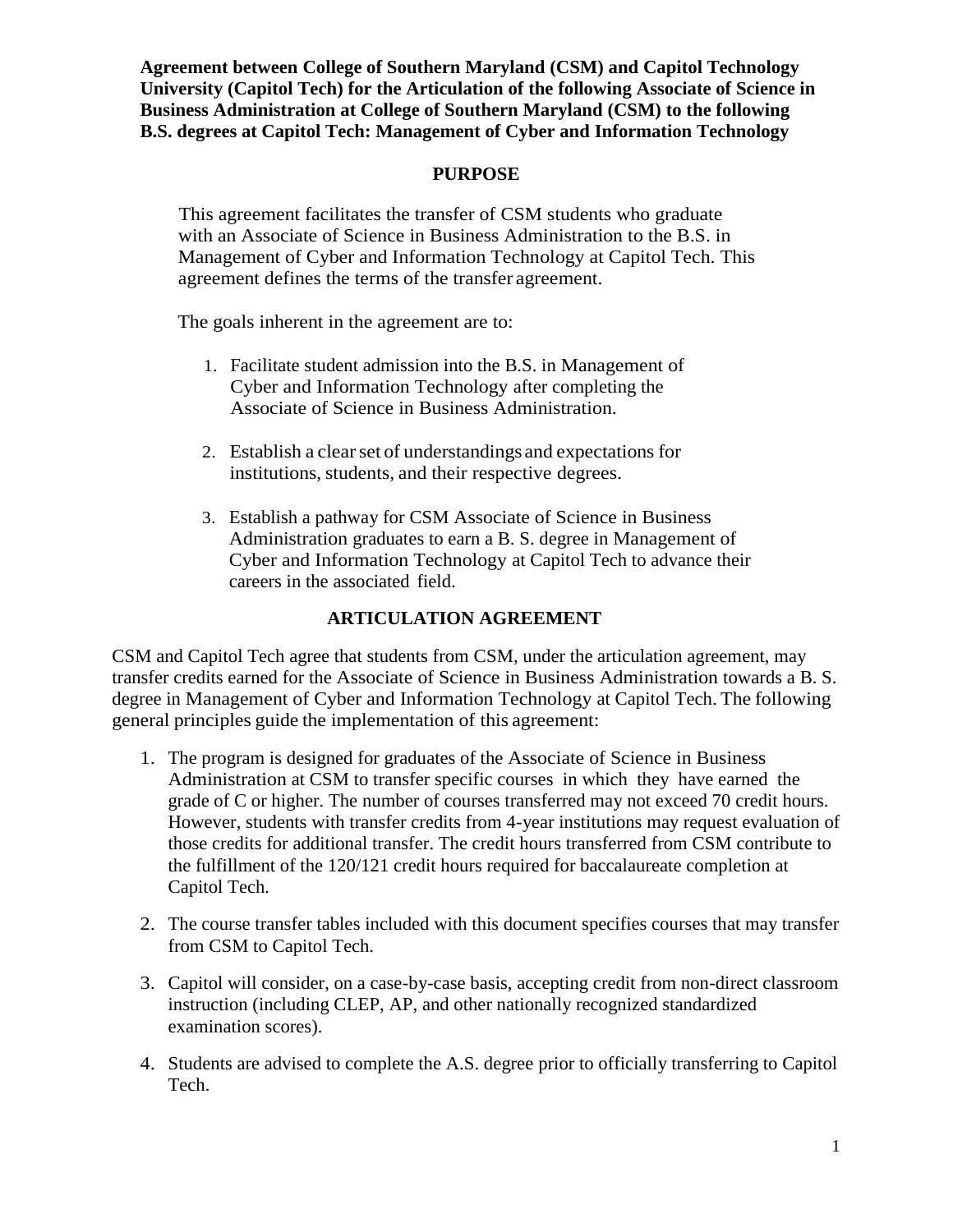**Agreement between College of Southern Maryland (CSM) and Capitol Technology University (Capitol Tech) for the Articulation of the following Associate of Science in Business Administration at College of Southern Maryland (CSM) to the following B.S. degrees at Capitol Tech: Management of Cyber and Information Technology**

## **PURPOSE**

This agreement facilitates the transfer of CSM students who graduate with an Associate of Science in Business Administration to the B.S. in Management of Cyber and Information Technology at Capitol Tech. This agreement defines the terms of the transfer agreement.

The goals inherent in the agreement are to:

- 1. Facilitate student admission into the B.S. in Management of Cyber and Information Technology after completing the Associate of Science in Business Administration.
- 2. Establish a clear set of understandings and expectations for institutions, students, and their respective degrees.
- 3. Establish a pathway for CSM Associate of Science in Business Administration graduates to earn a B. S. degree in Management of Cyber and Information Technology at Capitol Tech to advance their careers in the associated field.

## **ARTICULATION AGREEMENT**

CSM and Capitol Tech agree that students from CSM, under the articulation agreement, may transfer credits earned for the Associate of Science in Business Administration towards a B. S. degree in Management of Cyber and Information Technology at Capitol Tech. The following general principles guide the implementation of this agreement:

- 1. The program is designed for graduates of the Associate of Science in Business Administration at CSM to transfer specific courses in which they have earned the grade of C or higher. The number of courses transferred may not exceed 70 credit hours. However, students with transfer credits from 4-year institutions may request evaluation of those credits for additional transfer. The credit hours transferred from CSM contribute to the fulfillment of the 120/121 credit hours required for baccalaureate completion at Capitol Tech.
- 2. The course transfer tables included with this document specifies courses that may transfer from CSM to Capitol Tech.
- 3. Capitol will consider, on a case-by-case basis, accepting credit from non-direct classroom instruction (including CLEP, AP, and other nationally recognized standardized examination scores).
- 4. Students are advised to complete the A.S. degree prior to officially transferring to Capitol Tech.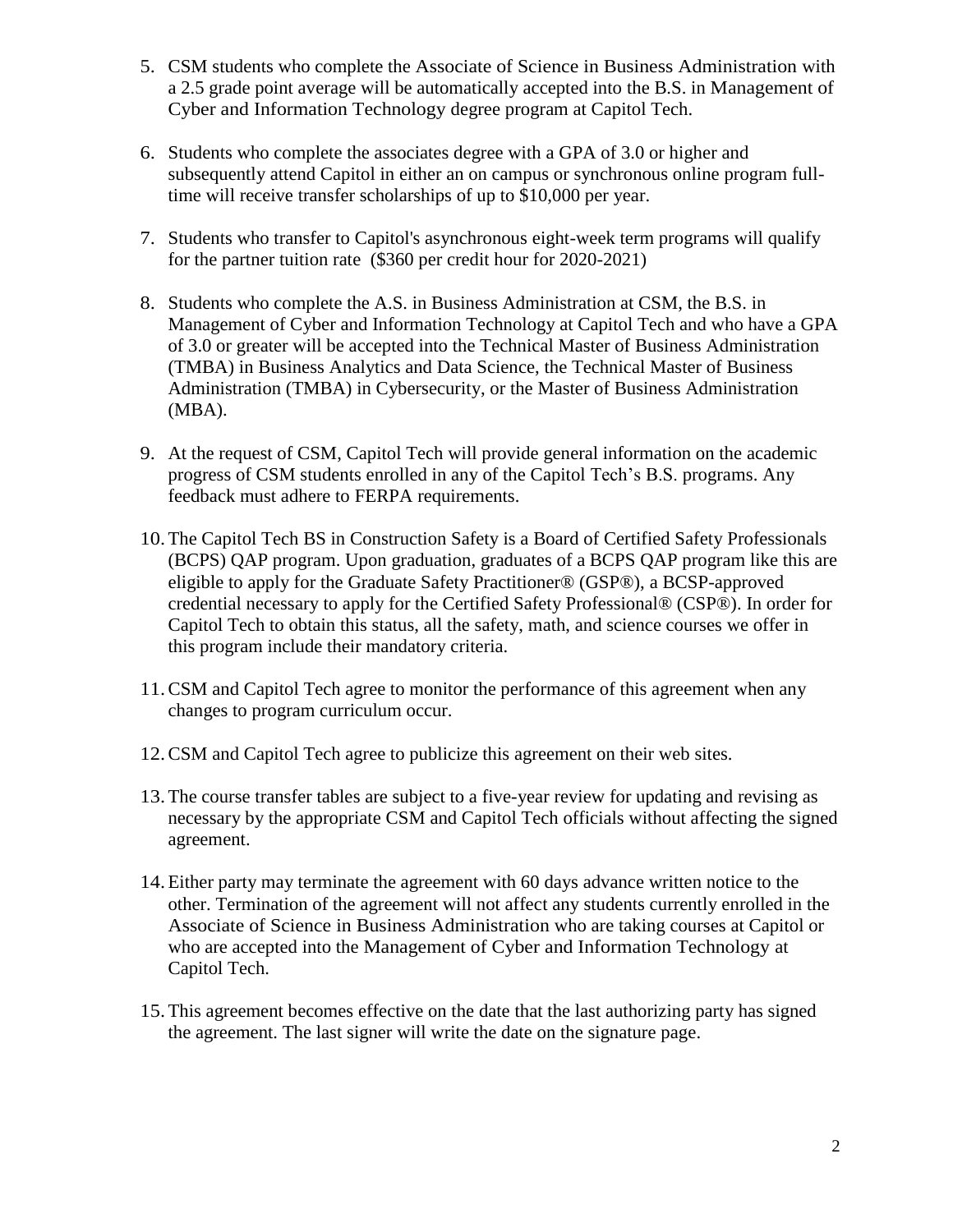- 5. CSM students who complete the Associate of Science in Business Administration with a 2.5 grade point average will be automatically accepted into the B.S. in Management of Cyber and Information Technology degree program at Capitol Tech.
- 6. Students who complete the associates degree with a GPA of 3.0 or higher and subsequently attend Capitol in either an on campus or synchronous online program fulltime will receive transfer scholarships of up to \$10,000 per year.
- 7. Students who transfer to Capitol's asynchronous eight-week term programs will qualify for the partner tuition rate (\$360 per credit hour for 2020-2021)
- 8. Students who complete the A.S. in Business Administration at CSM, the B.S. in Management of Cyber and Information Technology at Capitol Tech and who have a GPA of 3.0 or greater will be accepted into the Technical Master of Business Administration (TMBA) in Business Analytics and Data Science, the Technical Master of Business Administration (TMBA) in Cybersecurity, or the Master of Business Administration (MBA).
- 9. At the request of CSM, Capitol Tech will provide general information on the academic progress of CSM students enrolled in any of the Capitol Tech's B.S. programs. Any feedback must adhere to FERPA requirements.
- 10.The Capitol Tech BS in Construction Safety is a Board of Certified Safety Professionals (BCPS) QAP program. Upon graduation, graduates of a BCPS QAP program like this are eligible to apply for the Graduate Safety Practitioner® (GSP®), a BCSP-approved credential necessary to apply for the Certified Safety Professional® (CSP®). In order for Capitol Tech to obtain this status, all the safety, math, and science courses we offer in this program include their mandatory criteria.
- 11.CSM and Capitol Tech agree to monitor the performance of this agreement when any changes to program curriculum occur.
- 12.CSM and Capitol Tech agree to publicize this agreement on their web sites.
- 13.The course transfer tables are subject to a five-year review for updating and revising as necessary by the appropriate CSM and Capitol Tech officials without affecting the signed agreement.
- 14.Either party may terminate the agreement with 60 days advance written notice to the other. Termination of the agreement will not affect any students currently enrolled in the Associate of Science in Business Administration who are taking courses at Capitol or who are accepted into the Management of Cyber and Information Technology at Capitol Tech.
- 15.This agreement becomes effective on the date that the last authorizing party has signed the agreement. The last signer will write the date on the signature page.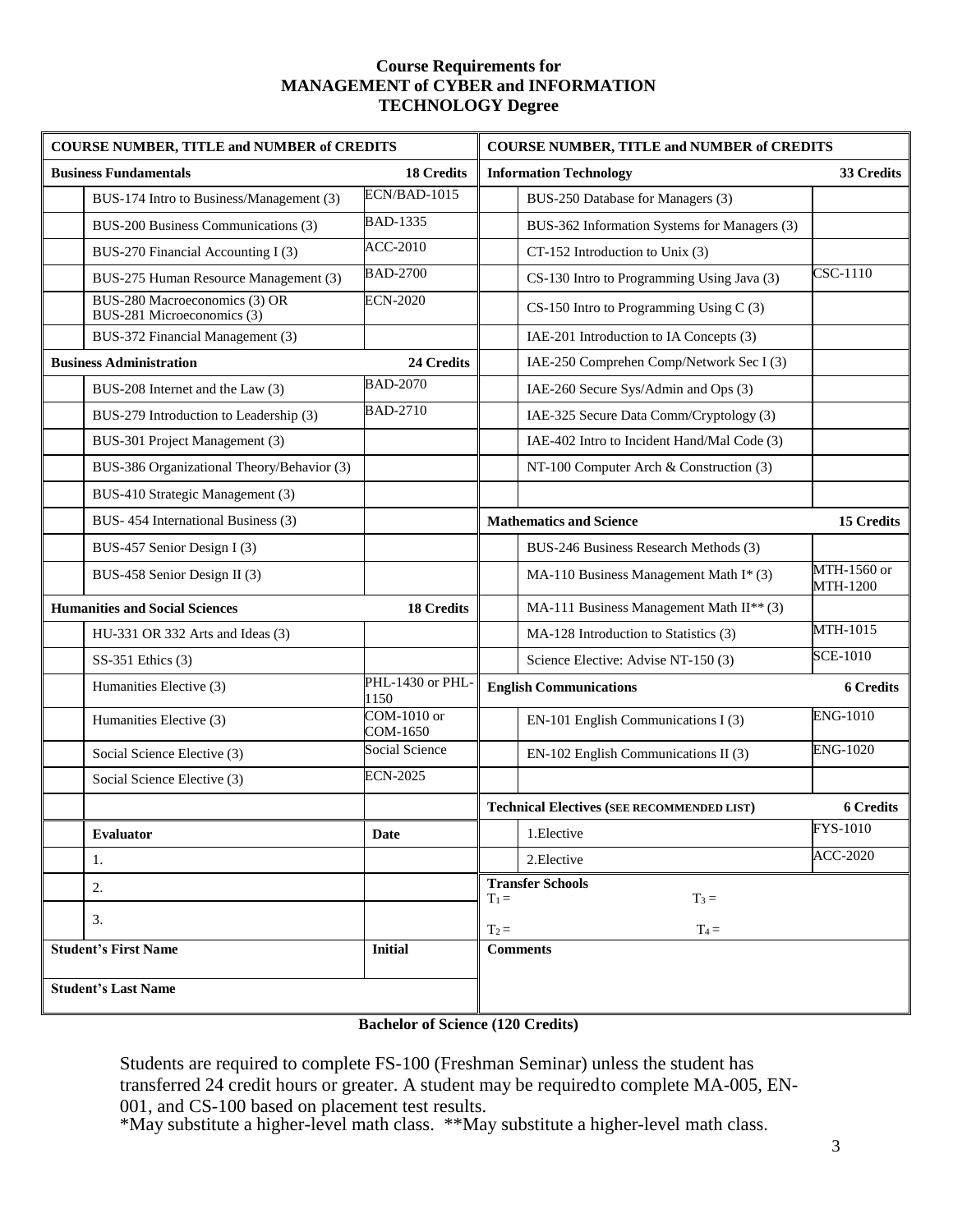## **Course Requirements for MANAGEMENT of CYBER and INFORMATION TECHNOLOGY Degree**

| <b>COURSE NUMBER, TITLE and NUMBER of CREDITS</b>           |                                | <b>COURSE NUMBER, TITLE and NUMBER of CREDITS</b> |                                |
|-------------------------------------------------------------|--------------------------------|---------------------------------------------------|--------------------------------|
| <b>Business Fundamentals</b>                                | <b>18 Credits</b>              | <b>Information Technology</b>                     | 33 Credits                     |
| BUS-174 Intro to Business/Management (3)                    | ECN/BAD-1015                   | BUS-250 Database for Managers (3)                 |                                |
| BUS-200 Business Communications (3)                         | <b>BAD-1335</b>                | BUS-362 Information Systems for Managers (3)      |                                |
| BUS-270 Financial Accounting I (3)                          | <b>ACC-2010</b>                | CT-152 Introduction to Unix (3)                   |                                |
| BUS-275 Human Resource Management (3)                       | <b>BAD-2700</b>                | CS-130 Intro to Programming Using Java (3)        | CSC-1110                       |
| BUS-280 Macroeconomics (3) OR<br>BUS-281 Microeconomics (3) | <b>ECN-2020</b>                | CS-150 Intro to Programming Using C (3)           |                                |
| BUS-372 Financial Management (3)                            |                                | IAE-201 Introduction to IA Concepts (3)           |                                |
| <b>Business Administration</b>                              | 24 Credits                     | IAE-250 Comprehen Comp/Network Sec I (3)          |                                |
| BUS-208 Internet and the Law (3)                            | <b>BAD-2070</b>                | IAE-260 Secure Sys/Admin and Ops (3)              |                                |
| BUS-279 Introduction to Leadership (3)                      | <b>BAD-2710</b>                | IAE-325 Secure Data Comm/Cryptology (3)           |                                |
| BUS-301 Project Management (3)                              |                                | IAE-402 Intro to Incident Hand/Mal Code (3)       |                                |
| BUS-386 Organizational Theory/Behavior (3)                  |                                | NT-100 Computer Arch & Construction (3)           |                                |
| BUS-410 Strategic Management (3)                            |                                |                                                   |                                |
| BUS-454 International Business (3)                          |                                | <b>Mathematics and Science</b>                    | <b>15 Credits</b>              |
| BUS-457 Senior Design I (3)                                 |                                | BUS-246 Business Research Methods (3)             |                                |
| BUS-458 Senior Design II (3)                                |                                | MA-110 Business Management Math I* (3)            | MTH-1560 or<br><b>MTH-1200</b> |
| <b>Humanities and Social Sciences</b>                       | <b>18 Credits</b>              | MA-111 Business Management Math II** (3)          |                                |
| HU-331 OR 332 Arts and Ideas (3)                            |                                | MA-128 Introduction to Statistics (3)             | MTH-1015                       |
| SS-351 Ethics (3)                                           |                                | Science Elective: Advise NT-150 (3)               | <b>SCE-1010</b>                |
| Humanities Elective (3)                                     | PHL-1430 or PHL-<br>1150       | <b>English Communications</b>                     | <b>6 Credits</b>               |
| Humanities Elective (3)                                     | <b>COM-1010 or</b><br>COM-1650 | EN-101 English Communications I (3)               | <b>ENG-1010</b>                |
| Social Science Elective (3)                                 | Social Science                 | EN-102 English Communications II (3)              | <b>ENG-1020</b>                |
| Social Science Elective (3)                                 | <b>ECN-2025</b>                |                                                   |                                |
|                                                             |                                | <b>Technical Electives (SEE RECOMMENDED LIST)</b> | <b>6 Credits</b>               |
| <b>Evaluator</b>                                            | <b>Date</b>                    | 1.Elective                                        | FYS-1010                       |
| 1.                                                          |                                | 2. Elective                                       | <b>ACC-2020</b>                |
| 2.                                                          |                                | <b>Transfer Schools</b><br>$T_1 =$<br>$T_3 =$     |                                |
| 3.                                                          |                                | $T_4 =$<br>$T_2 =$                                |                                |
| <b>Student's First Name</b>                                 | <b>Initial</b>                 | <b>Comments</b>                                   |                                |
|                                                             |                                |                                                   |                                |
| <b>Student's Last Name</b>                                  |                                |                                                   |                                |

**Bachelor of Science (120 Credits)**

Students are required to complete FS-100 (Freshman Seminar) unless the student has transferred 24 credit hours or greater. A student may be requiredto complete MA-005, EN-001, and CS-100 based on placement test results.

\*May substitute a higher-level math class. \*\*May substitute a higher-level math class.